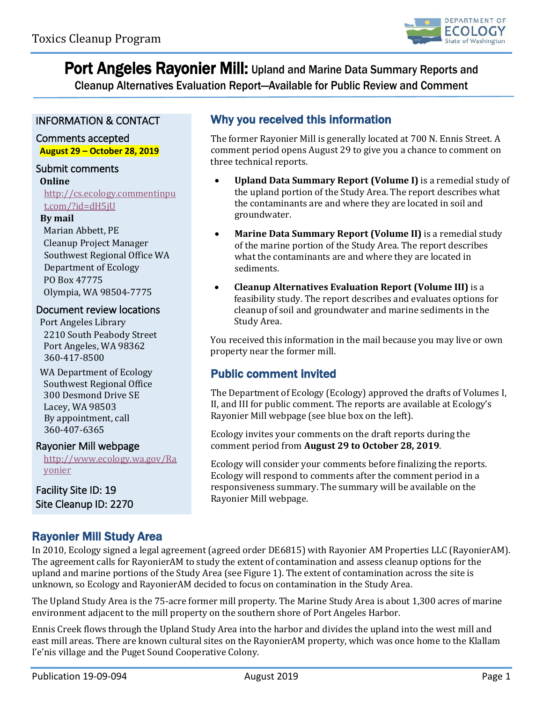

Port Angeles Rayonier Mill: Upland and Marine Data Summary Reports and

Cleanup Alternatives Evaluation Report—Available for Public Review and Comment

## INFORMATION & CONTACT

### Comments accepted **August 29 – October 28, 2019**

### Submit comments

**Online**

[http://cs.ecology.commentinpu](http://cs.ecology.commentinput.com/?id=dH5jU) [t.com/?id=dH5jU](http://cs.ecology.commentinput.com/?id=dH5jU)

#### **By mail**

Marian Abbett, PE Cleanup Project Manager Southwest Regional Office WA Department of Ecology PO Box 47775 Olympia, WA 98504-7775

#### Document review locations

Port Angeles Library 2210 South Peabody Street Port Angeles, WA 98362 360-417-8500

WA Department of Ecology Southwest Regional Office 300 Desmond Drive SE Lacey, WA 98503 By appointment, call 360-407-6365

#### Rayonier Mill webpage

[http://www.ecology.wa.gov/Ra](http://www.ecology.wa.gov/Rayonier) [yonier](http://www.ecology.wa.gov/Rayonier)

Facility Site ID: 19 Site Cleanup ID: 2270

## Why you received this information

The former Rayonier Mill is generally located at 700 N. Ennis Street. A comment period opens August 29 to give you a chance to comment on three technical reports.

- **Upland Data Summary Report (Volume I)** is a remedial study of the upland portion of the Study Area. The report describes what the contaminants are and where they are located in soil and groundwater.
- **Marine Data Summary Report (Volume II)** is a remedial study of the marine portion of the Study Area. The report describes what the contaminants are and where they are located in sediments.
- **Cleanup Alternatives Evaluation Report (Volume III)** is a feasibility study. The report describes and evaluates options for cleanup of soil and groundwater and marine sediments in the Study Area.

You received this information in the mail because you may live or own property near the former mill.

## Public comment invited

The Department of Ecology (Ecology) approved the drafts of Volumes I, II, and III for public comment. The reports are available at Ecology's Rayonier Mill webpage (see blue box on the left).

Ecology invites your comments on the draft reports during the comment period from **August 29 to October 28, 2019**.

Ecology will consider your comments before finalizing the reports. Ecology will respond to comments after the comment period in a responsiveness summary. The summary will be available on the Rayonier Mill webpage.

## Rayonier Mill Study Area

In 2010, Ecology signed a legal agreement (agreed order DE6815) with Rayonier AM Properties LLC (RayonierAM). The agreement calls for RayonierAM to study the extent of contamination and assess cleanup options for the upland and marine portions of the Study Area (see Figure 1). The extent of contamination across the site is unknown, so Ecology and RayonierAM decided to focus on contamination in the Study Area.

The Upland Study Area is the 75-acre former mill property. The Marine Study Area is about 1,300 acres of marine environment adjacent to the mill property on the southern shore of Port Angeles Harbor.

Ennis Creek flows through the Upland Study Area into the harbor and divides the upland into the west mill and east mill areas. There are known cultural sites on the RayonierAM property, which was once home to the Klallam I'e'nis village and the Puget Sound Cooperative Colony.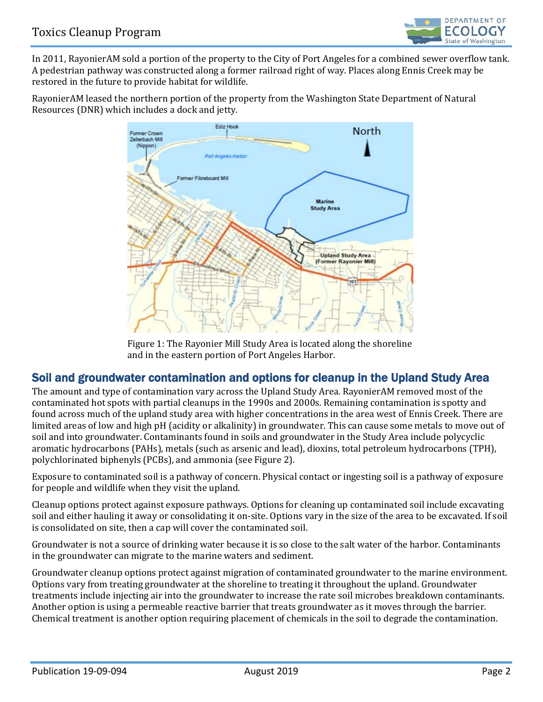

In 2011, RayonierAM sold a portion of the property to the City of Port Angeles for a combined sewer overflow tank. A pedestrian pathway was constructed along a former railroad right of way. Places along Ennis Creek may be restored in the future to provide habitat for wildlife.

RayonierAM leased the northern portion of the property from the Washington State Department of Natural Resources (DNR) which includes a dock and jetty.



Figure 1: The Rayonier Mill Study Area is located along the shoreline and in the eastern portion of Port Angeles Harbor.

## Soil and groundwater contamination and options for cleanup in the Upland Study Area

The amount and type of contamination vary across the Upland Study Area. RayonierAM removed most of the contaminated hot spots with partial cleanups in the 1990s and 2000s. Remaining contamination is spotty and found across much of the upland study area with higher concentrations in the area west of Ennis Creek. There are limited areas of low and high pH (acidity or alkalinity) in groundwater. This can cause some metals to move out of soil and into groundwater. Contaminants found in soils and groundwater in the Study Area include polycyclic aromatic hydrocarbons (PAHs), metals (such as arsenic and lead), dioxins, total petroleum hydrocarbons (TPH), polychlorinated biphenyls (PCBs), and ammonia (see Figure 2).

Exposure to contaminated soil is a pathway of concern. Physical contact or ingesting soil is a pathway of exposure for people and wildlife when they visit the upland.

Cleanup options protect against exposure pathways. Options for cleaning up contaminated soil include excavating soil and either hauling it away or consolidating it on-site. Options vary in the size of the area to be excavated. If soil is consolidated on site, then a cap will cover the contaminated soil.

Groundwater is not a source of drinking water because it is so close to the salt water of the harbor. Contaminants in the groundwater can migrate to the marine waters and sediment.

Groundwater cleanup options protect against migration of contaminated groundwater to the marine environment. Options vary from treating groundwater at the shoreline to treating it throughout the upland. Groundwater treatments include injecting air into the groundwater to increase the rate soil microbes breakdown contaminants. Another option is using a permeable reactive barrier that treats groundwater as it moves through the barrier. Chemical treatment is another option requiring placement of chemicals in the soil to degrade the contamination.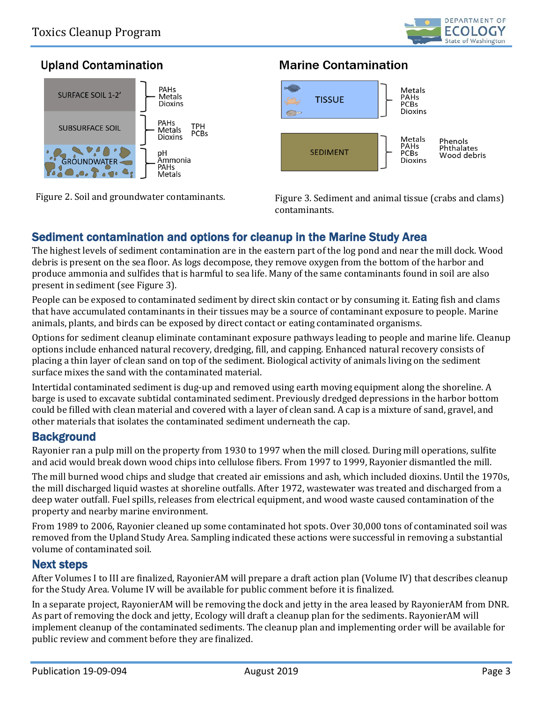

## **Upland Contamination**



# **Marine Contamination**



Figure 2. Soil and groundwater contaminants. Figure 3. Sediment and animal tissue (crabs and clams) contaminants.

## Sediment contamination and options for cleanup in the Marine Study Area

The highest levels of sediment contamination are in the eastern part of the log pond and near the mill dock. Wood debris is present on the sea floor. As logs decompose, they remove oxygen from the bottom of the harbor and produce ammonia and sulfides that is harmful to sea life. Many of the same contaminants found in soil are also present in sediment (see Figure 3).

People can be exposed to contaminated sediment by direct skin contact or by consuming it. Eating fish and clams that have accumulated contaminants in their tissues may be a source of contaminant exposure to people. Marine animals, plants, and birds can be exposed by direct contact or eating contaminated organisms.

Options for sediment cleanup eliminate contaminant exposure pathways leading to people and marine life. Cleanup options include enhanced natural recovery, dredging, fill, and capping. Enhanced natural recovery consists of placing a thin layer of clean sand on top of the sediment. Biological activity of animals living on the sediment surface mixes the sand with the contaminated material.

Intertidal contaminated sediment is dug-up and removed using earth moving equipment along the shoreline. A barge is used to excavate subtidal contaminated sediment. Previously dredged depressions in the harbor bottom could be filled with clean material and covered with a layer of clean sand. A cap is a mixture of sand, gravel, and other materials that isolates the contaminated sediment underneath the cap.

## **Background**

Rayonier ran a pulp mill on the property from 1930 to 1997 when the mill closed. During mill operations, sulfite and acid would break down wood chips into cellulose fibers. From 1997 to 1999, Rayonier dismantled the mill.

The mill burned wood chips and sludge that created air emissions and ash, which included dioxins. Until the 1970s, the mill discharged liquid wastes at shoreline outfalls. After 1972, wastewater was treated and discharged from a deep water outfall. Fuel spills, releases from electrical equipment, and wood waste caused contamination of the property and nearby marine environment.

From 1989 to 2006, Rayonier cleaned up some contaminated hot spots. Over 30,000 tons of contaminated soil was removed from the Upland Study Area. Sampling indicated these actions were successful in removing a substantial volume of contaminated soil.

#### Next steps

After Volumes I to III are finalized, RayonierAM will prepare a draft action plan (Volume IV) that describes cleanup for the Study Area. Volume IV will be available for public comment before it is finalized.

In a separate project, RayonierAM will be removing the dock and jetty in the area leased by RayonierAM from DNR. As part of removing the dock and jetty, Ecology will draft a cleanup plan for the sediments. RayonierAM will implement cleanup of the contaminated sediments. The cleanup plan and implementing order will be available for public review and comment before they are finalized.